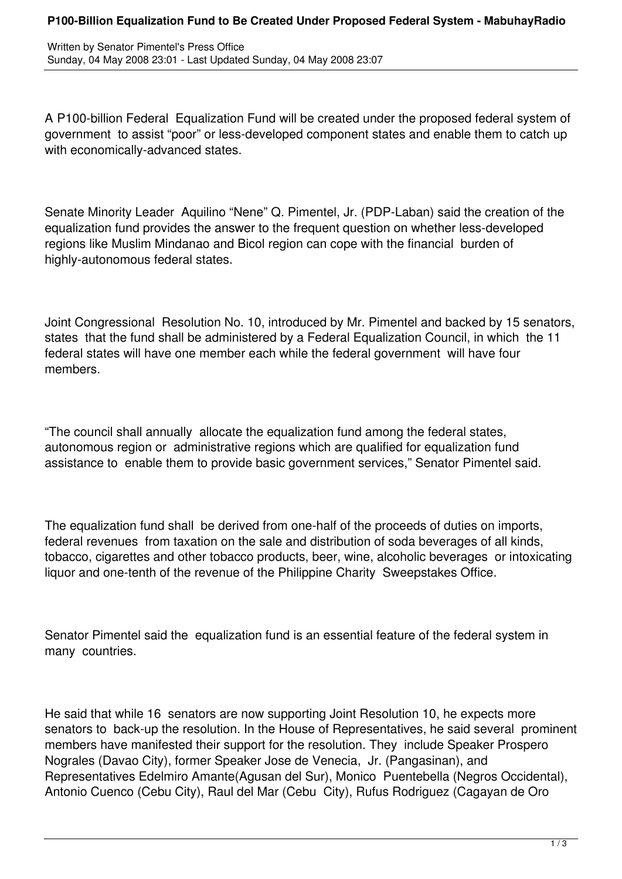A P100-billion Federal Equalization Fund will be created under the proposed federal system of government to assist "poor" or less-developed component states and enable them to catch up with economically-advanced states.

Senate Minority Leader Aquilino "Nene" Q. Pimentel, Jr. (PDP-Laban) said the creation of the equalization fund provides the answer to the frequent question on whether less-developed regions like Muslim Mindanao and Bicol region can cope with the financial burden of highly-autonomous federal states.

Joint Congressional Resolution No. 10, introduced by Mr. Pimentel and backed by 15 senators, states that the fund shall be administered by a Federal Equalization Council, in which the 11 federal states will have one member each while the federal government will have four members.

"The council shall annually allocate the equalization fund among the federal states, autonomous region or administrative regions which are qualified for equalization fund assistance to enable them to provide basic government services," Senator Pimentel said.

The equalization fund shall be derived from one-half of the proceeds of duties on imports, federal revenues from taxation on the sale and distribution of soda beverages of all kinds, tobacco, cigarettes and other tobacco products, beer, wine, alcoholic beverages or intoxicating liquor and one-tenth of the revenue of the Philippine Charity Sweepstakes Office.

Senator Pimentel said the equalization fund is an essential feature of the federal system in many countries.

He said that while 16 senators are now supporting Joint Resolution 10, he expects more senators to back-up the resolution. In the House of Representatives, he said several prominent members have manifested their support for the resolution. They include Speaker Prospero Nograles (Davao City), former Speaker Jose de Venecia, Jr. (Pangasinan), and Representatives Edelmiro Amante(Agusan del Sur), Monico Puentebella (Negros Occidental), Antonio Cuenco (Cebu City), Raul del Mar (Cebu City), Rufus Rodriguez (Cagayan de Oro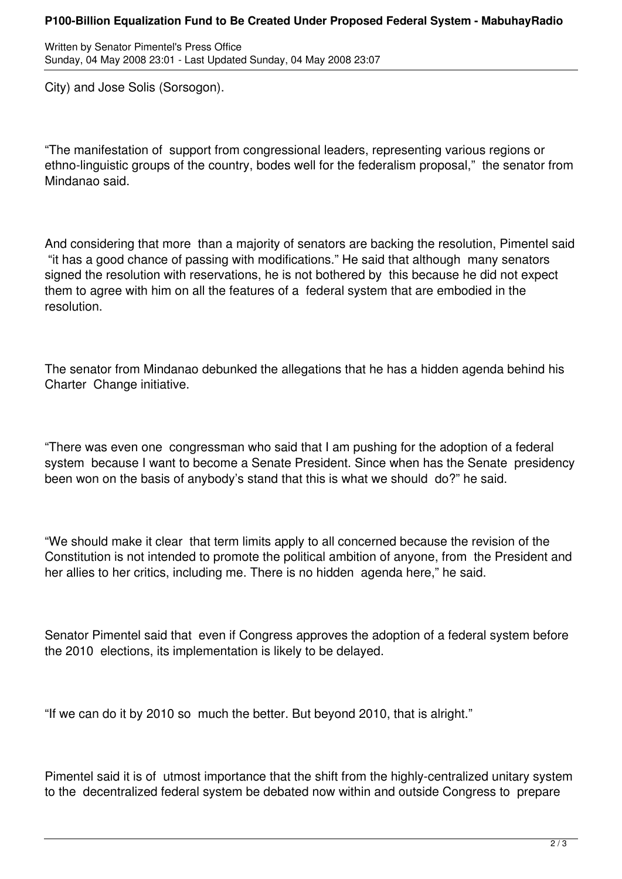Written by Senator Pimentel's Press Office Sunday, 04 May 2008 23:01 - Last Updated Sunday, 04 May 2008 23:07

City) and Jose Solis (Sorsogon).

"The manifestation of support from congressional leaders, representing various regions or ethno-linguistic groups of the country, bodes well for the federalism proposal," the senator from Mindanao said.

And considering that more than a majority of senators are backing the resolution, Pimentel said "it has a good chance of passing with modifications." He said that although many senators signed the resolution with reservations, he is not bothered by this because he did not expect them to agree with him on all the features of a federal system that are embodied in the resolution.

The senator from Mindanao debunked the allegations that he has a hidden agenda behind his Charter Change initiative.

"There was even one congressman who said that I am pushing for the adoption of a federal system because I want to become a Senate President. Since when has the Senate presidency been won on the basis of anybody's stand that this is what we should do?" he said.

"We should make it clear that term limits apply to all concerned because the revision of the Constitution is not intended to promote the political ambition of anyone, from the President and her allies to her critics, including me. There is no hidden agenda here," he said.

Senator Pimentel said that even if Congress approves the adoption of a federal system before the 2010 elections, its implementation is likely to be delayed.

"If we can do it by 2010 so much the better. But beyond 2010, that is alright."

Pimentel said it is of utmost importance that the shift from the highly-centralized unitary system to the decentralized federal system be debated now within and outside Congress to prepare